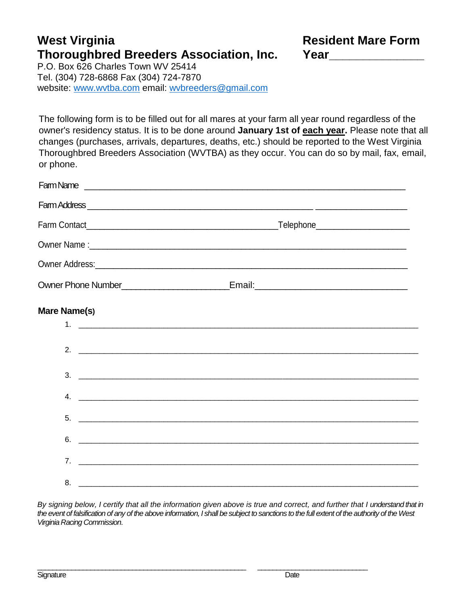## West Virginia **New Article 2018** Resident Mare Form **Thoroughbred Breeders Association, Inc. Year\_\_\_\_\_\_\_\_\_\_\_\_\_\_**

P.O. Box 626 Charles Town WV 25414 Tel. (304) 728-6868 Fax (304) 724-7870 website: [www.wvtba.com](http://www.wvtba.com/) email: [wvbreeders@gmail.com](mailto:wvbreeders@gmail.com)

The following form is to be filled out for all mares at your farm all year round regardless of the owner's residency status. It is to be done around **January 1st of each year.** Please note that all changes (purchases, arrivals, departures, deaths, etc.) should be reported to the West Virginia Thoroughbred Breeders Association (WVTBA) as they occur. You can do so by mail, fax, email, or phone.

| Mare Name(s) |                               |  |
|--------------|-------------------------------|--|
|              |                               |  |
|              |                               |  |
|              | $3.$ $\overline{\phantom{a}}$ |  |
|              |                               |  |
| 5.           |                               |  |
| 6.           |                               |  |
|              |                               |  |
| 8.           |                               |  |

*By signing below, I certify that all the information given above is true and correct, and further that I understand that in the event of falsification of any of the above information, I shall be subject to sanctions to the full extent of the authority of the West Virginia Racing Commission*.

\_\_\_\_\_\_\_\_\_\_\_\_\_\_\_\_\_\_\_\_\_\_\_\_\_\_\_\_\_\_\_\_\_\_\_\_\_\_\_\_\_\_\_\_\_\_\_\_\_\_\_\_\_\_\_ \_\_\_\_\_\_\_\_\_\_\_\_\_\_\_\_\_\_\_\_\_\_\_\_\_\_\_\_\_